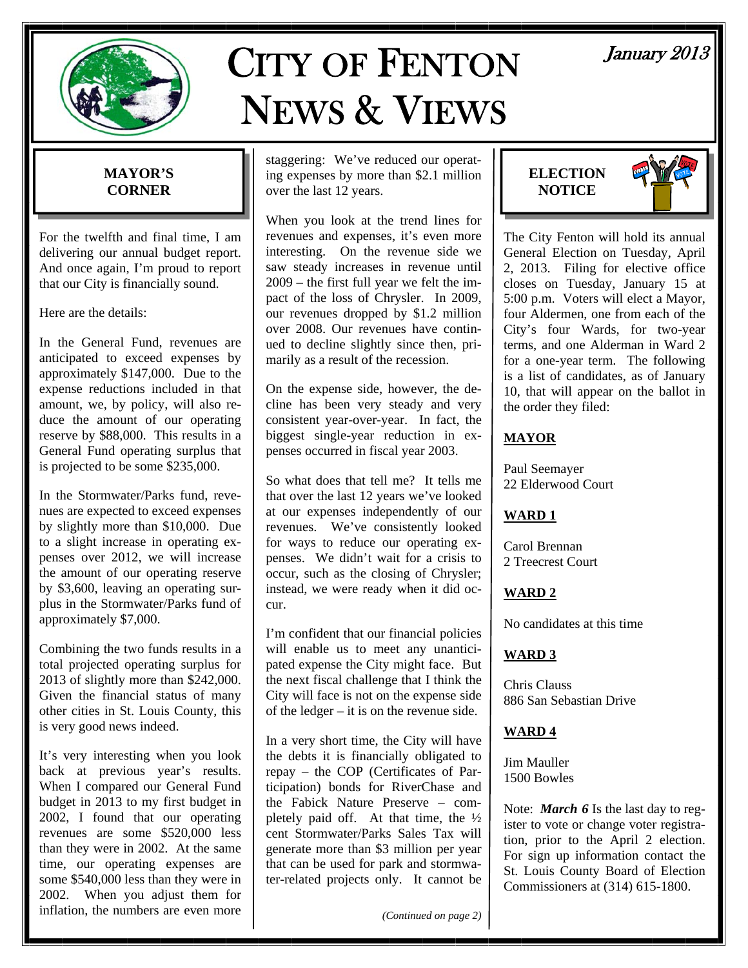

# CITY OF FENTON NEWS & VIEWS

# **MAYOR'S CORNER**

For the twelfth and final time, I am delivering our annual budget report. And once again, I'm proud to report that our City is financially sound.

Here are the details:

In the General Fund, revenues are anticipated to exceed expenses by approximately \$147,000. Due to the expense reductions included in that amount, we, by policy, will also reduce the amount of our operating reserve by \$88,000. This results in a General Fund operating surplus that is projected to be some \$235,000.

In the Stormwater/Parks fund, revenues are expected to exceed expenses by slightly more than \$10,000. Due to a slight increase in operating expenses over 2012, we will increase the amount of our operating reserve by \$3,600, leaving an operating surplus in the Stormwater/Parks fund of approximately \$7,000.

Combining the two funds results in a total projected operating surplus for 2013 of slightly more than \$242,000. Given the financial status of many other cities in St. Louis County, this is very good news indeed.

It's very interesting when you look back at previous year's results. When I compared our General Fund budget in 2013 to my first budget in 2002, I found that our operating revenues are some \$520,000 less than they were in 2002. At the same time, our operating expenses are some \$540,000 less than they were in 2002. When you adjust them for inflation, the numbers are even more

staggering: We've reduced our operating expenses by more than \$2.1 million over the last 12 years.

When you look at the trend lines for revenues and expenses, it's even more interesting. On the revenue side we saw steady increases in revenue until 2009 – the first full year we felt the impact of the loss of Chrysler. In 2009, our revenues dropped by \$1.2 million over 2008. Our revenues have continued to decline slightly since then, primarily as a result of the recession.

On the expense side, however, the decline has been very steady and very consistent year-over-year. In fact, the biggest single-year reduction in expenses occurred in fiscal year 2003.

So what does that tell me? It tells me that over the last 12 years we've looked at our expenses independently of our revenues. We've consistently looked for ways to reduce our operating expenses. We didn't wait for a crisis to occur, such as the closing of Chrysler; instead, we were ready when it did occur.

I'm confident that our financial policies will enable us to meet any unanticipated expense the City might face. But the next fiscal challenge that I think the City will face is not on the expense side of the ledger – it is on the revenue side.

In a very short time, the City will have the debts it is financially obligated to repay – the COP (Certificates of Participation) bonds for RiverChase and the Fabick Nature Preserve – completely paid off. At that time, the ½ cent Stormwater/Parks Sales Tax will generate more than \$3 million per year that can be used for park and stormwater-related projects only. It cannot be

*(Continued on page 2)* 

# January 2013

**ELECTION NOTICE** 



The City Fenton will hold its annual General Election on Tuesday, April 2, 2013. Filing for elective office closes on Tuesday, January 15 at 5:00 p.m. Voters will elect a Mayor, four Aldermen, one from each of the City's four Wards, for two-year terms, and one Alderman in Ward 2 for a one-year term. The following is a list of candidates, as of January 10, that will appear on the ballot in the order they filed:

### **MAYOR**

Paul Seemayer 22 Elderwood Court

#### **WARD 1**

Carol Brennan 2 Treecrest Court

# **WARD 2**

No candidates at this time

#### **WARD 3**

Chris Clauss 886 San Sebastian Drive

#### **WARD 4**

Jim Mauller 1500 Bowles

Note: *March 6* Is the last day to register to vote or change voter registration, prior to the April 2 election. For sign up information contact the St. Louis County Board of Election Commissioners at (314) 615-1800.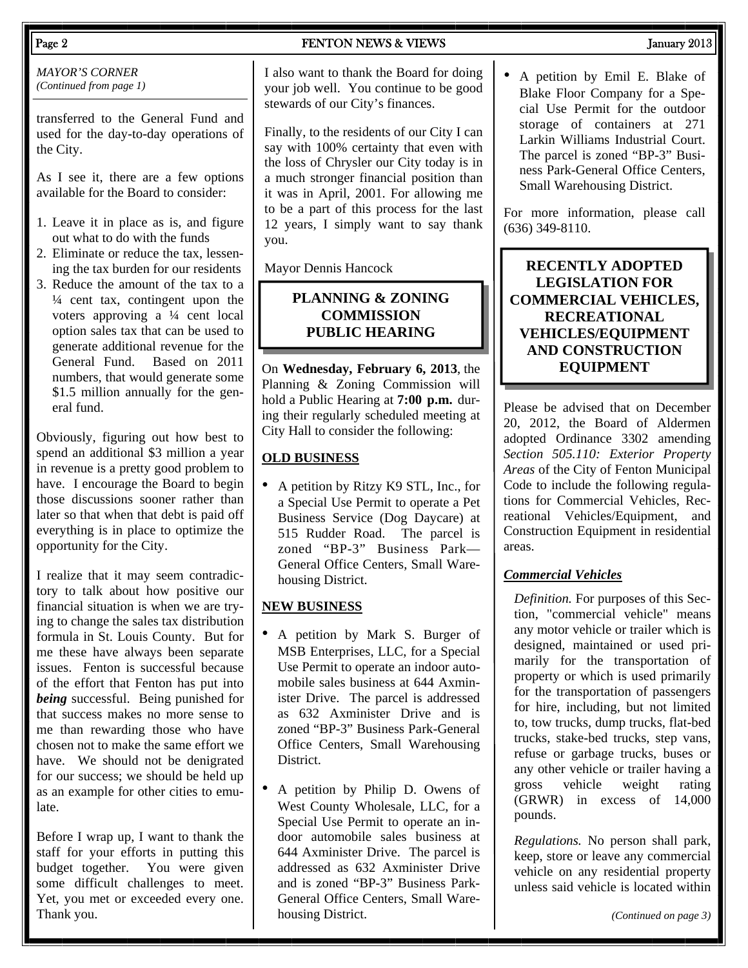#### *MAYOR'S CORNER (Continued from page 1)*

transferred to the General Fund and used for the day-to-day operations of the City.

As I see it, there are a few options available for the Board to consider:

- 1. Leave it in place as is, and figure out what to do with the funds
- 2. Eliminate or reduce the tax, lessening the tax burden for our residents
- 3. Reduce the amount of the tax to a  $\frac{1}{4}$  cent tax, contingent upon the voters approving a ¼ cent local option sales tax that can be used to generate additional revenue for the General Fund. Based on 2011 numbers, that would generate some \$1.5 million annually for the general fund.

Obviously, figuring out how best to spend an additional \$3 million a year in revenue is a pretty good problem to have. I encourage the Board to begin those discussions sooner rather than later so that when that debt is paid off everything is in place to optimize the opportunity for the City.

I realize that it may seem contradictory to talk about how positive our financial situation is when we are trying to change the sales tax distribution formula in St. Louis County. But for me these have always been separate issues. Fenton is successful because of the effort that Fenton has put into *being* successful. Being punished for that success makes no more sense to me than rewarding those who have chosen not to make the same effort we have. We should not be denigrated for our success; we should be held up as an example for other cities to emulate.

Before I wrap up, I want to thank the staff for your efforts in putting this budget together. You were given some difficult challenges to meet. Yet, you met or exceeded every one. Thank you.

### Page 2 **FENTON NEWS & VIEWS** January 2013

I also want to thank the Board for doing your job well. You continue to be good stewards of our City's finances.

Finally, to the residents of our City I can say with 100% certainty that even with the loss of Chrysler our City today is in a much stronger financial position than it was in April, 2001. For allowing me to be a part of this process for the last 12 years, I simply want to say thank you.

Mayor Dennis Hancock

#### **PLANNING & ZONING COMMISSION PUBLIC HEARING**

On **Wednesday, February 6, 2013**, the Planning & Zoning Commission will hold a Public Hearing at **7:00 p.m.** during their regularly scheduled meeting at City Hall to consider the following:

### **OLD BUSINESS**

• A petition by Ritzy K9 STL, Inc., for a Special Use Permit to operate a Pet Business Service (Dog Daycare) at 515 Rudder Road. The parcel is zoned "BP-3" Business Park— General Office Centers, Small Warehousing District.

#### **NEW BUSINESS**

- A petition by Mark S. Burger of MSB Enterprises, LLC, for a Special Use Permit to operate an indoor automobile sales business at 644 Axminister Drive. The parcel is addressed as 632 Axminister Drive and is zoned "BP-3" Business Park-General Office Centers, Small Warehousing District.
- A petition by Philip D. Owens of West County Wholesale, LLC, for a Special Use Permit to operate an indoor automobile sales business at 644 Axminister Drive. The parcel is addressed as 632 Axminister Drive and is zoned "BP-3" Business Park-General Office Centers, Small Warehousing District.

• A petition by Emil E. Blake of Blake Floor Company for a Special Use Permit for the outdoor storage of containers at 271 Larkin Williams Industrial Court. The parcel is zoned "BP-3" Business Park-General Office Centers, Small Warehousing District.

For more information, please call (636) 349-8110.

### **RECENTLY ADOPTED LEGISLATION FOR COMMERCIAL VEHICLES, RECREATIONAL VEHICLES/EQUIPMENT AND CONSTRUCTION EQUIPMENT**

Please be advised that on December 20, 2012, the Board of Aldermen adopted Ordinance 3302 amending *Section 505.110: Exterior Property Areas* of the City of Fenton Municipal Code to include the following regulations for Commercial Vehicles, Recreational Vehicles/Equipment, and Construction Equipment in residential areas.

### *Commercial Vehicles*

*Definition.* For purposes of this Section, "commercial vehicle" means any motor vehicle or trailer which is designed, maintained or used primarily for the transportation of property or which is used primarily for the transportation of passengers for hire, including, but not limited to, tow trucks, dump trucks, flat-bed trucks, stake-bed trucks, step vans, refuse or garbage trucks, buses or any other vehicle or trailer having a gross vehicle weight rating (GRWR) in excess of 14,000 pounds.

*Regulations.* No person shall park, keep, store or leave any commercial vehicle on any residential property unless said vehicle is located within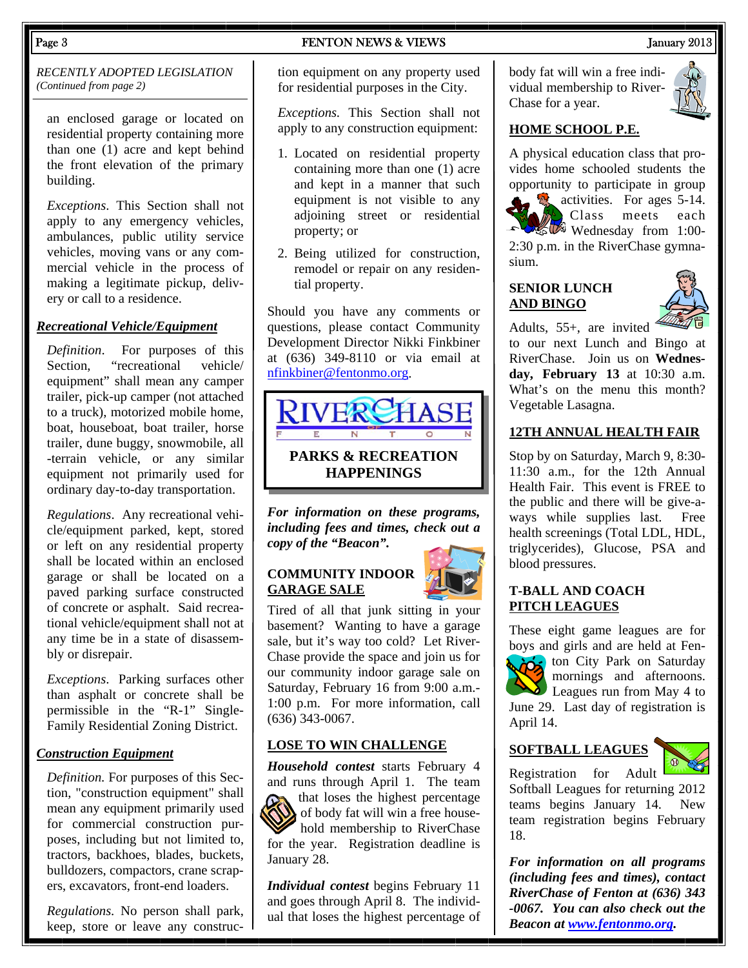#### Page 3 FENTON NEWS & VIEWS FENTON NEWS 3 1 Annuary 2013

*RECENTLY ADOPTED LEGISLATION (Continued from page 2)* 

an enclosed garage or located on residential property containing more than one (1) acre and kept behind the front elevation of the primary building.

*Exceptions*. This Section shall not apply to any emergency vehicles, ambulances, public utility service vehicles, moving vans or any commercial vehicle in the process of making a legitimate pickup, delivery or call to a residence.

#### *Recreational Vehicle/Equipment*

*Definition*. For purposes of this Section, "recreational vehicle/ equipment" shall mean any camper trailer, pick-up camper (not attached to a truck), motorized mobile home, boat, houseboat, boat trailer, horse trailer, dune buggy, snowmobile, all -terrain vehicle, or any similar equipment not primarily used for ordinary day-to-day transportation.

*Regulations*. Any recreational vehicle/equipment parked, kept, stored or left on any residential property shall be located within an enclosed garage or shall be located on a paved parking surface constructed of concrete or asphalt. Said recreational vehicle/equipment shall not at any time be in a state of disassembly or disrepair.

*Exceptions*. Parking surfaces other than asphalt or concrete shall be permissible in the "R-1" Single-Family Residential Zoning District.

### *Construction Equipment*

*Definition.* For purposes of this Section, "construction equipment" shall mean any equipment primarily used for commercial construction purposes, including but not limited to, tractors, backhoes, blades, buckets, bulldozers, compactors, crane scrapers, excavators, front-end loaders.

*Regulations.* No person shall park, keep, store or leave any construction equipment on any property used for residential purposes in the City.

*Exceptions.* This Section shall not apply to any construction equipment:

- 1. Located on residential property containing more than one (1) acre and kept in a manner that such equipment is not visible to any adjoining street or residential property; or
- 2. Being utilized for construction, remodel or repair on any residential property.

Should you have any comments or questions, please contact Community Development Director Nikki Finkbiner at (636) 349-8110 or via email at nfinkbiner@fentonmo.org.



*For information on these programs, including fees and times, check out a copy of the "Beacon".* 

#### **COMMUNITY INDOOR GARAGE SALE**



Tired of all that junk sitting in your basement? Wanting to have a garage sale, but it's way too cold? Let River-Chase provide the space and join us for our community indoor garage sale on Saturday, February 16 from 9:00 a.m.- 1:00 p.m. For more information, call (636) 343-0067.

#### **LOSE TO WIN CHALLENGE**

*Household contest* starts February 4 and runs through April 1. The team that loses the highest percentage of body fat will win a free household membership to RiverChase for the year. Registration deadline is January 28.

*Individual contest* begins February 11 and goes through April 8. The individual that loses the highest percentage of body fat will win a free individual membership to River-Chase for a year.



#### **HOME SCHOOL P.E.**

A physical education class that provides home schooled students the opportunity to participate in group

**by** activities. For ages 5-14. Class meets each **Wednesday** from 1:00-2:30 p.m. in the RiverChase gymnasium.

#### **SENIOR LUNCH AND BINGO**

Vegetable Lasagna.



Adults, 55+, are invited to our next Lunch and Bingo at RiverChase. Join us on **Wednesday, February 13** at 10:30 a.m. What's on the menu this month?

#### **12TH ANNUAL HEALTH FAIR**

Stop by on Saturday, March 9, 8:30- 11:30 a.m., for the 12th Annual Health Fair. This event is FREE to the public and there will be give-aways while supplies last. Free health screenings (Total LDL, HDL, triglycerides), Glucose, PSA and blood pressures.

#### **T-BALL AND COACH PITCH LEAGUES**

These eight game leagues are for boys and girls and are held at Fenton City Park on Saturday mornings and afternoons.  $\sum$  Leagues run from May 4 to June 29. Last day of registration is April 14.

**SOFTBALL LEAGUES**



Registration for Adult Softball Leagues for returning 2012 teams begins January 14. New team registration begins February 18.

*For information on all programs (including fees and times), contact RiverChase of Fenton at (636) 343 -0067. You can also check out the Beacon at www.fentonmo.org.*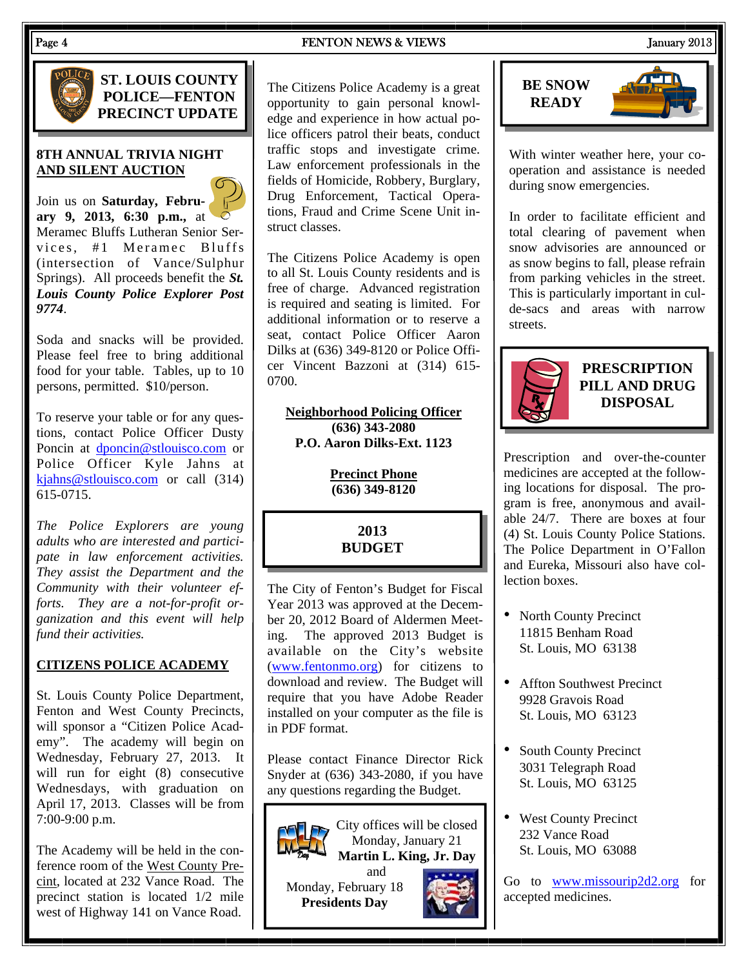#### Page 4 **FENTON NEWS & VIEWS FENTON NEWS FENTON NEWS FENTON FENTON FENTON FENTON FENTON FENTON FENTON FENTON FENTON FENTON FENTON FENTON FENTON FENTON FENTON FENTON FENTON FENT**



**ST. LOUIS COUNTY POLICE—FENTON PRECINCT UPDATE** 

#### **8TH ANNUAL TRIVIA NIGHT AND SILENT AUCTION**

Join us on **Saturday, February 9, 2013, 6:30 p.m.,** at Meramec Bluffs Lutheran Senior Services, #1 Meramec Bluffs (intersection of Vance/Sulphur Springs). All proceeds benefit the *St. Louis County Police Explorer Post 9774*.

Soda and snacks will be provided. Please feel free to bring additional food for your table. Tables, up to 10 persons, permitted. \$10/person.

To reserve your table or for any questions, contact Police Officer Dusty Poncin at dponcin@stlouisco.com or Police Officer Kyle Jahns at kjahns@stlouisco.com or call (314) 615-0715.

*The Police Explorers are young adults who are interested and participate in law enforcement activities. They assist the Department and the Community with their volunteer efforts. They are a not-for-profit organization and this event will help fund their activities.* 

#### **CITIZENS POLICE ACADEMY**

St. Louis County Police Department, Fenton and West County Precincts, will sponsor a "Citizen Police Academy". The academy will begin on Wednesday, February 27, 2013. It will run for eight (8) consecutive Wednesdays, with graduation on April 17, 2013. Classes will be from 7:00-9:00 p.m.

The Academy will be held in the conference room of the West County Precint, located at 232 Vance Road. The precinct station is located 1/2 mile west of Highway 141 on Vance Road.

The Citizens Police Academy is a great opportunity to gain personal knowledge and experience in how actual police officers patrol their beats, conduct traffic stops and investigate crime. Law enforcement professionals in the fields of Homicide, Robbery, Burglary, Drug Enforcement, Tactical Operations, Fraud and Crime Scene Unit instruct classes.

The Citizens Police Academy is open to all St. Louis County residents and is free of charge. Advanced registration is required and seating is limited. For additional information or to reserve a seat, contact Police Officer Aaron Dilks at (636) 349-8120 or Police Officer Vincent Bazzoni at (314) 615- 0700.

**Neighborhood Policing Officer (636) 343-2080 P.O. Aaron Dilks-Ext. 1123** 

> **Precinct Phone (636) 349-8120**

> > **2013 BUDGET**

The City of Fenton's Budget for Fiscal Year 2013 was approved at the December 20, 2012 Board of Aldermen Meeting. The approved 2013 Budget is available on the City's website (www.fentonmo.org) for citizens to download and review. The Budget will require that you have Adobe Reader installed on your computer as the file is in PDF format.

Please contact Finance Director Rick Snyder at (636) 343-2080, if you have any questions regarding the Budget.







With winter weather here, your cooperation and assistance is needed during snow emergencies.

In order to facilitate efficient and total clearing of pavement when snow advisories are announced or as snow begins to fall, please refrain from parking vehicles in the street. This is particularly important in culde-sacs and areas with narrow streets.



**PRESCRIPTION PILL AND DRUG DISPOSAL** 

Prescription and over-the-counter medicines are accepted at the following locations for disposal. The program is free, anonymous and available 24/7. There are boxes at four (4) St. Louis County Police Stations. The Police Department in O'Fallon and Eureka, Missouri also have collection boxes.

- North County Precinct 11815 Benham Road St. Louis, MO 63138
- Affton Southwest Precinct 9928 Gravois Road St. Louis, MO 63123
- South County Precinct 3031 Telegraph Road St. Louis, MO 63125
- West County Precinct 232 Vance Road St. Louis, MO 63088

Go to www.missourip2d2.org for accepted medicines.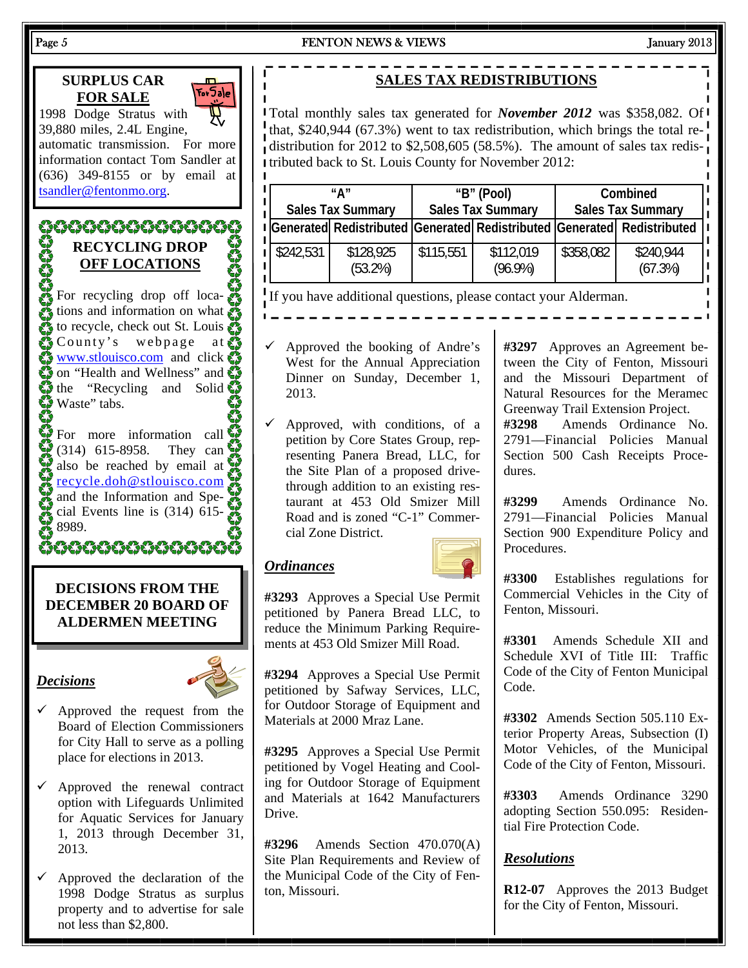# **SURPLUS CAR**  E |For5ale| **FOR SALE** 1998 Dodge Stratus with 39,880 miles, 2.4L Engine, automatic transmission. For more information contact Tom Sandler at (636) 349-8155 or by email at  $\blacksquare$ tsandler@fentonmo.org. **RECYCLING DROP OFF LOCATIONS** For recycling drop off locations and information on what to recycle, check out St. Louis County's webpage at **WWW.stlouisco.com** and click **O** on "Health and Wellness" and the "Recycling and Solid $\bullet$ "<br> $\bullet$  Waste" tabs. Waste" tabs. For more information call (314) 615-8958. They can also be reached by email at recycle.doh@stlouisco.com and the Information and Special Events line is (314) 615- 8989. 600000000000000 **DECISIONS FROM THE DECEMBER 20 BOARD OF ALDERMEN MEETING**  *Decisions*

Page 5 FENTON NEWS & VIEWS FENTON NEWS 3. Tanuary 2013

# **SALES TAX REDISTRIBUTIONS**

Total monthly sales tax generated for *November 2012* was \$358,082. Of that, \$240,944 (67.3%) went to tax redistribution, which brings the total redistribution for 2012 to \$2,508,605 (58.5%). The amount of sales tax redistributed back to St. Louis County for November 2012:

| " Д<br><b>Sales Tax Summary</b> |                      | "B" (Pool)<br><b>Sales Tax Summary</b> |                         | Combined<br><b>Sales Tax Summary</b> |                                                                           |
|---------------------------------|----------------------|----------------------------------------|-------------------------|--------------------------------------|---------------------------------------------------------------------------|
|                                 |                      |                                        |                         |                                      | I Generated Redistributed Generated Redistributed Generated Redistributed |
| $\frac{1}{2}$ \$242,531         | \$128,925<br>(53.2%) | \$115,551                              | \$112,019<br>$(96.9\%)$ | \$358,082                            | \$240,944<br>(67.3%)                                                      |

If you have additional questions, please contact your Alderman.

- $\checkmark$  Approved the booking of Andre's West for the Annual Appreciation Dinner on Sunday, December 1, 2013.
- $\checkmark$  Approved, with conditions, of a petition by Core States Group, representing Panera Bread, LLC, for the Site Plan of a proposed drivethrough addition to an existing restaurant at 453 Old Smizer Mill Road and is zoned "C-1" Commercial Zone District.

#### *Ordinances*



**#3293** Approves a Special Use Permit petitioned by Panera Bread LLC, to reduce the Minimum Parking Requirements at 453 Old Smizer Mill Road.

**#3294** Approves a Special Use Permit petitioned by Safway Services, LLC, for Outdoor Storage of Equipment and Materials at 2000 Mraz Lane.

**#3295** Approves a Special Use Permit petitioned by Vogel Heating and Cooling for Outdoor Storage of Equipment and Materials at 1642 Manufacturers **Drive.** 

**#3296** Amends Section 470.070(A) Site Plan Requirements and Review of the Municipal Code of the City of Fenton, Missouri.

**#3297** Approves an Agreement between the City of Fenton, Missouri and the Missouri Department of Natural Resources for the Meramec Greenway Trail Extension Project.

**#3298** Amends Ordinance No. 2791—Financial Policies Manual Section 500 Cash Receipts Procedures.

**#3299** Amends Ordinance No. 2791—Financial Policies Manual Section 900 Expenditure Policy and Procedures.

**#3300** Establishes regulations for Commercial Vehicles in the City of Fenton, Missouri.

**#3301** Amends Schedule XII and Schedule XVI of Title III: Traffic Code of the City of Fenton Municipal Code.

**#3302** Amends Section 505.110 Exterior Property Areas, Subsection (I) Motor Vehicles, of the Municipal Code of the City of Fenton, Missouri.

**#3303** Amends Ordinance 3290 adopting Section 550.095: Residential Fire Protection Code.

### *Resolutions*

**R12-07** Approves the 2013 Budget for the City of Fenton, Missouri.

- $\checkmark$  Approved the request from the Board of Election Commissioners for City Hall to serve as a polling place for elections in 2013.
- $\checkmark$  Approved the renewal contract option with Lifeguards Unlimited for Aquatic Services for January 1, 2013 through December 31, 2013.
- $\checkmark$  Approved the declaration of the 1998 Dodge Stratus as surplus property and to advertise for sale not less than \$2,800.